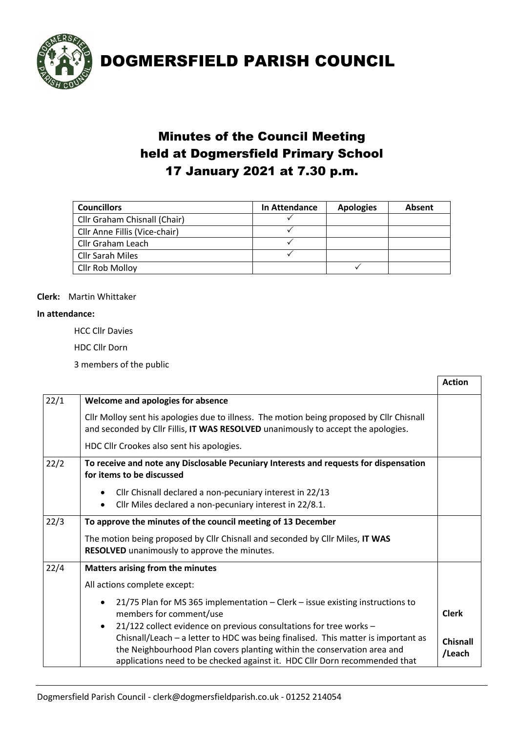

# Minutes of the Council Meeting held at Dogmersfield Primary School 17 January 2021 at 7.30 p.m.

| <b>Councillors</b>            | In Attendance | <b>Apologies</b> | Absent |
|-------------------------------|---------------|------------------|--------|
| Cllr Graham Chisnall (Chair)  |               |                  |        |
| Cllr Anne Fillis (Vice-chair) |               |                  |        |
| Cllr Graham Leach             |               |                  |        |
| <b>Cllr Sarah Miles</b>       |               |                  |        |
| Cllr Rob Molloy               |               |                  |        |

### **Clerk:** Martin Whittaker

#### **In attendance:**

HCC Cllr Davies

HDC Cllr Dorn

3 members of the public

|      |                                                                                                                                                                                                                                                                                                                               | <b>Action</b>             |
|------|-------------------------------------------------------------------------------------------------------------------------------------------------------------------------------------------------------------------------------------------------------------------------------------------------------------------------------|---------------------------|
| 22/1 | Welcome and apologies for absence                                                                                                                                                                                                                                                                                             |                           |
|      | Cllr Molloy sent his apologies due to illness. The motion being proposed by Cllr Chisnall<br>and seconded by Cllr Fillis, IT WAS RESOLVED unanimously to accept the apologies.                                                                                                                                                |                           |
|      | HDC Cllr Crookes also sent his apologies.                                                                                                                                                                                                                                                                                     |                           |
| 22/2 | To receive and note any Disclosable Pecuniary Interests and requests for dispensation<br>for items to be discussed                                                                                                                                                                                                            |                           |
|      | Cllr Chisnall declared a non-pecuniary interest in 22/13                                                                                                                                                                                                                                                                      |                           |
|      | Cllr Miles declared a non-pecuniary interest in 22/8.1.<br>$\bullet$                                                                                                                                                                                                                                                          |                           |
| 22/3 | To approve the minutes of the council meeting of 13 December                                                                                                                                                                                                                                                                  |                           |
|      | The motion being proposed by Cllr Chisnall and seconded by Cllr Miles, IT WAS<br>RESOLVED unanimously to approve the minutes.                                                                                                                                                                                                 |                           |
| 22/4 | Matters arising from the minutes                                                                                                                                                                                                                                                                                              |                           |
|      | All actions complete except:                                                                                                                                                                                                                                                                                                  |                           |
|      | 21/75 Plan for MS 365 implementation - Clerk - issue existing instructions to<br>members for comment/use                                                                                                                                                                                                                      | <b>Clerk</b>              |
|      | 21/122 collect evidence on previous consultations for tree works -<br>$\bullet$<br>Chisnall/Leach - a letter to HDC was being finalised. This matter is important as<br>the Neighbourhood Plan covers planting within the conservation area and<br>applications need to be checked against it. HDC Cllr Dorn recommended that | <b>Chisnall</b><br>/Leach |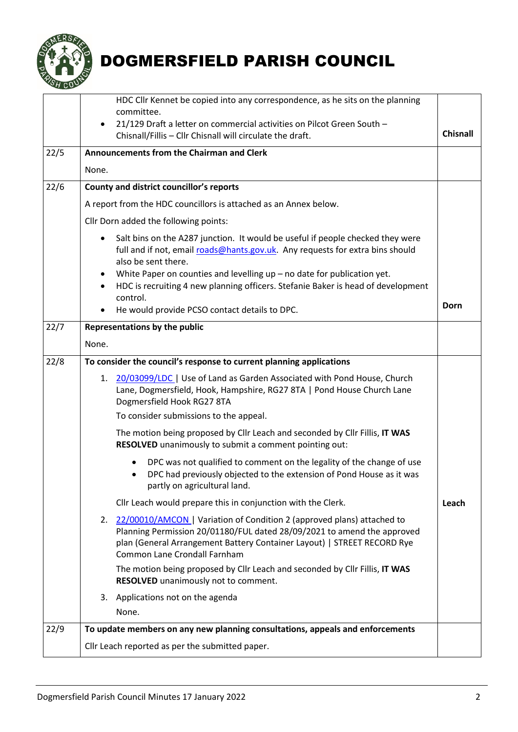

<span id="page-1-1"></span><span id="page-1-0"></span>

|      | HDC Cllr Kennet be copied into any correspondence, as he sits on the planning<br>committee.<br>21/129 Draft a letter on commercial activities on Pilcot Green South -<br>$\bullet$                                                                                                                                                                                                  |                 |  |
|------|-------------------------------------------------------------------------------------------------------------------------------------------------------------------------------------------------------------------------------------------------------------------------------------------------------------------------------------------------------------------------------------|-----------------|--|
|      | Chisnall/Fillis - Cllr Chisnall will circulate the draft.                                                                                                                                                                                                                                                                                                                           | <b>Chisnall</b> |  |
| 22/5 | <b>Announcements from the Chairman and Clerk</b>                                                                                                                                                                                                                                                                                                                                    |                 |  |
|      | None.                                                                                                                                                                                                                                                                                                                                                                               |                 |  |
| 22/6 | County and district councillor's reports                                                                                                                                                                                                                                                                                                                                            |                 |  |
|      | A report from the HDC councillors is attached as an Annex below.                                                                                                                                                                                                                                                                                                                    |                 |  |
|      | Cllr Dorn added the following points:                                                                                                                                                                                                                                                                                                                                               |                 |  |
|      | Salt bins on the A287 junction. It would be useful if people checked they were<br>$\bullet$<br>full and if not, email roads@hants.gov.uk. Any requests for extra bins should<br>also be sent there.<br>White Paper on counties and levelling up - no date for publication yet.<br>٠<br>HDC is recruiting 4 new planning officers. Stefanie Baker is head of development<br>control. | Dorn            |  |
| 22/7 | He would provide PCSO contact details to DPC.<br>٠                                                                                                                                                                                                                                                                                                                                  |                 |  |
|      | <b>Representations by the public</b><br>None.                                                                                                                                                                                                                                                                                                                                       |                 |  |
| 22/8 | To consider the council's response to current planning applications                                                                                                                                                                                                                                                                                                                 |                 |  |
|      | 20/03099/LDC   Use of Land as Garden Associated with Pond House, Church<br>1.<br>Lane, Dogmersfield, Hook, Hampshire, RG27 8TA   Pond House Church Lane<br>Dogmersfield Hook RG27 8TA                                                                                                                                                                                               |                 |  |
|      | To consider submissions to the appeal.                                                                                                                                                                                                                                                                                                                                              |                 |  |
|      | The motion being proposed by Cllr Leach and seconded by Cllr Fillis, IT WAS<br>RESOLVED unanimously to submit a comment pointing out:                                                                                                                                                                                                                                               |                 |  |
|      | DPC was not qualified to comment on the legality of the change of use<br>DPC had previously objected to the extension of Pond House as it was<br>partly on agricultural land.                                                                                                                                                                                                       |                 |  |
|      | Cllr Leach would prepare this in conjunction with the Clerk.                                                                                                                                                                                                                                                                                                                        | Leach           |  |
|      | 2. 22/00010/AMCON   Variation of Condition 2 (approved plans) attached to<br>Planning Permission 20/01180/FUL dated 28/09/2021 to amend the approved<br>plan (General Arrangement Battery Container Layout)   STREET RECORD Rye<br><b>Common Lane Crondall Farnham</b>                                                                                                              |                 |  |
|      | The motion being proposed by Cllr Leach and seconded by Cllr Fillis, IT WAS<br>RESOLVED unanimously not to comment.                                                                                                                                                                                                                                                                 |                 |  |
|      | Applications not on the agenda<br>3.                                                                                                                                                                                                                                                                                                                                                |                 |  |
|      | None.                                                                                                                                                                                                                                                                                                                                                                               |                 |  |
| 22/9 | To update members on any new planning consultations, appeals and enforcements                                                                                                                                                                                                                                                                                                       |                 |  |
|      | Cllr Leach reported as per the submitted paper.                                                                                                                                                                                                                                                                                                                                     |                 |  |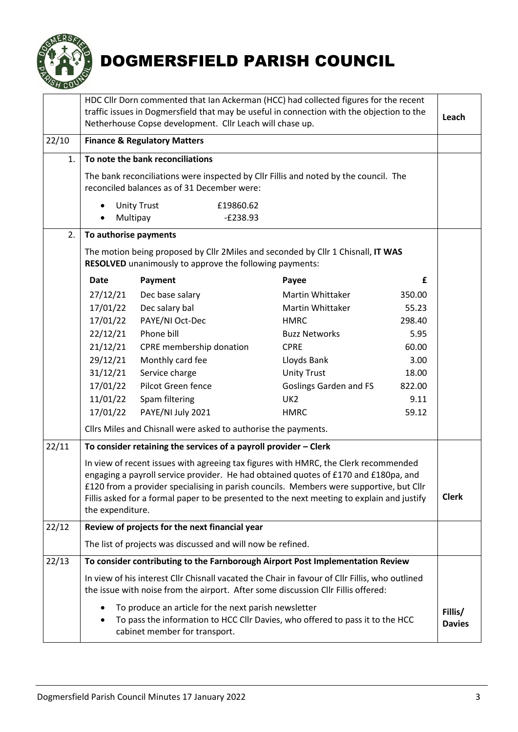

<span id="page-2-0"></span>

|       | HDC Cllr Dorn commented that Ian Ackerman (HCC) had collected figures for the recent<br>traffic issues in Dogmersfield that may be useful in connection with the objection to the<br>Netherhouse Copse development. Cllr Leach will chase up.                                                                                                                                           |                                                                    |                                                                                  | Leach                    |  |
|-------|-----------------------------------------------------------------------------------------------------------------------------------------------------------------------------------------------------------------------------------------------------------------------------------------------------------------------------------------------------------------------------------------|--------------------------------------------------------------------|----------------------------------------------------------------------------------|--------------------------|--|
| 22/10 | <b>Finance &amp; Regulatory Matters</b>                                                                                                                                                                                                                                                                                                                                                 |                                                                    |                                                                                  |                          |  |
| 1.    |                                                                                                                                                                                                                                                                                                                                                                                         | To note the bank reconciliations                                   |                                                                                  |                          |  |
|       | The bank reconciliations were inspected by Cllr Fillis and noted by the council. The<br>reconciled balances as of 31 December were:                                                                                                                                                                                                                                                     |                                                                    |                                                                                  |                          |  |
|       | $\bullet$                                                                                                                                                                                                                                                                                                                                                                               | <b>Unity Trust</b><br>£19860.62<br>Multipay<br>$-E238.93$          |                                                                                  |                          |  |
| 2.    | To authorise payments                                                                                                                                                                                                                                                                                                                                                                   |                                                                    |                                                                                  |                          |  |
|       |                                                                                                                                                                                                                                                                                                                                                                                         | RESOLVED unanimously to approve the following payments:            | The motion being proposed by Cllr 2Miles and seconded by Cllr 1 Chisnall, IT WAS |                          |  |
|       | <b>Date</b>                                                                                                                                                                                                                                                                                                                                                                             | Payment                                                            | Payee                                                                            | £                        |  |
|       | 27/12/21                                                                                                                                                                                                                                                                                                                                                                                | Dec base salary                                                    | Martin Whittaker                                                                 | 350.00                   |  |
|       | 17/01/22                                                                                                                                                                                                                                                                                                                                                                                | Dec salary bal                                                     | <b>Martin Whittaker</b>                                                          | 55.23                    |  |
|       | 17/01/22                                                                                                                                                                                                                                                                                                                                                                                | PAYE/NI Oct-Dec                                                    | <b>HMRC</b>                                                                      | 298.40                   |  |
|       | 22/12/21                                                                                                                                                                                                                                                                                                                                                                                | Phone bill                                                         | <b>Buzz Networks</b>                                                             | 5.95                     |  |
|       | 21/12/21                                                                                                                                                                                                                                                                                                                                                                                | CPRE membership donation                                           | <b>CPRE</b>                                                                      | 60.00                    |  |
|       | 29/12/21                                                                                                                                                                                                                                                                                                                                                                                | Monthly card fee                                                   | Lloyds Bank                                                                      | 3.00                     |  |
|       | 31/12/21                                                                                                                                                                                                                                                                                                                                                                                | Service charge                                                     | <b>Unity Trust</b>                                                               | 18.00                    |  |
|       | 17/01/22                                                                                                                                                                                                                                                                                                                                                                                | Pilcot Green fence                                                 | <b>Goslings Garden and FS</b>                                                    | 822.00                   |  |
|       | 11/01/22                                                                                                                                                                                                                                                                                                                                                                                | Spam filtering                                                     | UK <sub>2</sub>                                                                  | 9.11                     |  |
|       | 17/01/22                                                                                                                                                                                                                                                                                                                                                                                | PAYE/NI July 2021                                                  | <b>HMRC</b>                                                                      | 59.12                    |  |
|       | Cllrs Miles and Chisnall were asked to authorise the payments.                                                                                                                                                                                                                                                                                                                          |                                                                    |                                                                                  |                          |  |
| 22/11 |                                                                                                                                                                                                                                                                                                                                                                                         | To consider retaining the services of a payroll provider $-$ Clerk |                                                                                  |                          |  |
|       | In view of recent issues with agreeing tax figures with HMRC, the Clerk recommended<br>engaging a payroll service provider. He had obtained quotes of £170 and £180pa, and<br>£120 from a provider specialising in parish councils. Members were supportive, but Cllr<br>Fillis asked for a formal paper to be presented to the next meeting to explain and justify<br>the expenditure. |                                                                    |                                                                                  | <b>Clerk</b>             |  |
| 22/12 | Review of projects for the next financial year                                                                                                                                                                                                                                                                                                                                          |                                                                    |                                                                                  |                          |  |
|       | The list of projects was discussed and will now be refined.                                                                                                                                                                                                                                                                                                                             |                                                                    |                                                                                  |                          |  |
| 22/13 | To consider contributing to the Farnborough Airport Post Implementation Review                                                                                                                                                                                                                                                                                                          |                                                                    |                                                                                  |                          |  |
|       | In view of his interest Cllr Chisnall vacated the Chair in favour of Cllr Fillis, who outlined<br>the issue with noise from the airport. After some discussion Cllr Fillis offered:                                                                                                                                                                                                     |                                                                    |                                                                                  |                          |  |
|       | To produce an article for the next parish newsletter<br>$\bullet$<br>To pass the information to HCC Cllr Davies, who offered to pass it to the HCC<br>$\bullet$<br>cabinet member for transport.                                                                                                                                                                                        |                                                                    |                                                                                  | Fillis/<br><b>Davies</b> |  |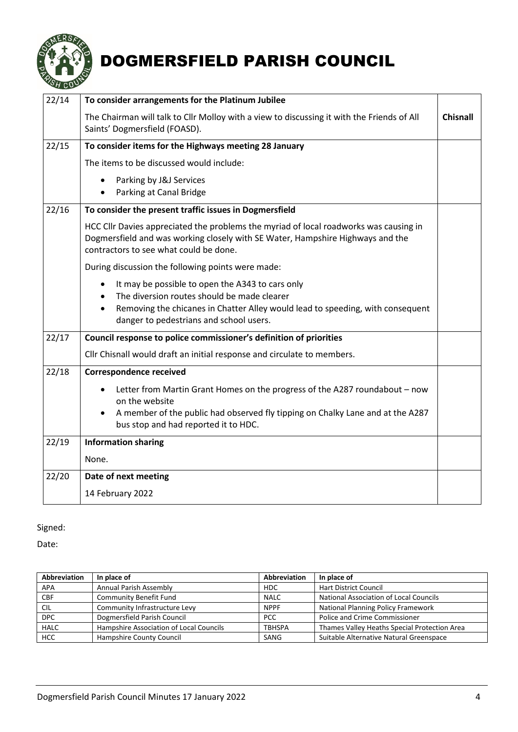

| 22/14 | To consider arrangements for the Platinum Jubilee                                                                                                                                                                                         |                 |
|-------|-------------------------------------------------------------------------------------------------------------------------------------------------------------------------------------------------------------------------------------------|-----------------|
|       | The Chairman will talk to Cllr Molloy with a view to discussing it with the Friends of All<br>Saints' Dogmersfield (FOASD).                                                                                                               | <b>Chisnall</b> |
| 22/15 | To consider items for the Highways meeting 28 January                                                                                                                                                                                     |                 |
|       | The items to be discussed would include:                                                                                                                                                                                                  |                 |
|       | Parking by J&J Services<br>$\bullet$<br>Parking at Canal Bridge                                                                                                                                                                           |                 |
| 22/16 | To consider the present traffic issues in Dogmersfield                                                                                                                                                                                    |                 |
|       | HCC Cllr Davies appreciated the problems the myriad of local roadworks was causing in<br>Dogmersfield and was working closely with SE Water, Hampshire Highways and the<br>contractors to see what could be done.                         |                 |
|       | During discussion the following points were made:                                                                                                                                                                                         |                 |
|       | It may be possible to open the A343 to cars only<br>$\bullet$<br>The diversion routes should be made clearer<br>Removing the chicanes in Chatter Alley would lead to speeding, with consequent<br>danger to pedestrians and school users. |                 |
| 22/17 | Council response to police commissioner's definition of priorities                                                                                                                                                                        |                 |
|       | Cllr Chisnall would draft an initial response and circulate to members.                                                                                                                                                                   |                 |
| 22/18 | <b>Correspondence received</b>                                                                                                                                                                                                            |                 |
|       | Letter from Martin Grant Homes on the progress of the A287 roundabout - now<br>$\bullet$<br>on the website<br>A member of the public had observed fly tipping on Chalky Lane and at the A287<br>$\bullet$                                 |                 |
|       | bus stop and had reported it to HDC.                                                                                                                                                                                                      |                 |
| 22/19 | <b>Information sharing</b>                                                                                                                                                                                                                |                 |
|       | None.                                                                                                                                                                                                                                     |                 |
| 22/20 | Date of next meeting                                                                                                                                                                                                                      |                 |
|       | 14 February 2022                                                                                                                                                                                                                          |                 |

# Signed:

Date:

| Abbreviation | In place of                             | <b>Abbreviation</b> | In place of                                   |
|--------------|-----------------------------------------|---------------------|-----------------------------------------------|
| <b>APA</b>   | Annual Parish Assembly                  | <b>HDC</b>          | <b>Hart District Council</b>                  |
| <b>CBF</b>   | <b>Community Benefit Fund</b>           | <b>NALC</b>         | <b>National Association of Local Councils</b> |
| <b>CIL</b>   | Community Infrastructure Levy           | <b>NPPF</b>         | <b>National Planning Policy Framework</b>     |
| <b>DPC</b>   | Dogmersfield Parish Council             | <b>PCC</b>          | Police and Crime Commissioner                 |
| <b>HALC</b>  | Hampshire Association of Local Councils | <b>TBHSPA</b>       | Thames Valley Heaths Special Protection Area  |
| HCC          | Hampshire County Council                | SANG                | Suitable Alternative Natural Greenspace       |